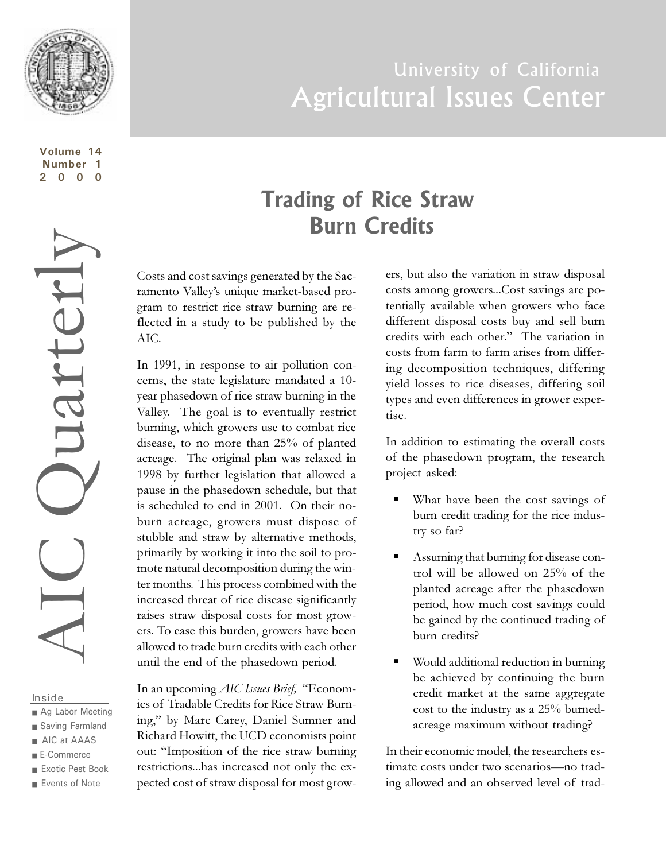

**Volume 14 Number 1 2000**

#### Inside

- Ag Labor Meeting
- Saving Farmland
- AIC at AAAS
- E-Commerce
- Exotic Pest Book
- Events of Note

# University of California Agricultural Issues Center

## **Trading of Rice Straw Burn Credits**

Costs and cost savings generated by the Sacramento Valley's unique market-based program to restrict rice straw burning are reflected in a study to be published by the AIC.

In 1991, in response to air pollution concerns, the state legislature mandated a 10 year phasedown of rice straw burning in the Valley. The goal is to eventually restrict burning, which growers use to combat rice disease, to no more than 25% of planted acreage. The original plan was relaxed in 1998 by further legislation that allowed a pause in the phasedown schedule, but that is scheduled to end in 2001. On their noburn acreage, growers must dispose of stubble and straw by alternative methods, primarily by working it into the soil to promote natural decomposition during the winter months. This process combined with the increased threat of rice disease significantly raises straw disposal costs for most growers. To ease this burden, growers have been allowed to trade burn credits with each other until the end of the phasedown period.

In an upcoming *AIC Issues Brief*, "Economics of Tradable Credits for Rice Straw Burning," by Marc Carey, Daniel Sumner and Richard Howitt, the UCD economists point out: Imposition of the rice straw burning restrictions...has increased not only the expected cost of straw disposal for most growers, but also the variation in straw disposal costs among growers...Cost savings are potentially available when growers who face different disposal costs buy and sell burn credits with each other." The variation in costs from farm to farm arises from differing decomposition techniques, differing yield losses to rice diseases, differing soil types and even differences in grower expertise.

In addition to estimating the overall costs of the phasedown program, the research project asked:

- What have been the cost savings of burn credit trading for the rice industry so far?
- § Assuming that burning for disease control will be allowed on 25% of the planted acreage after the phasedown period, how much cost savings could be gained by the continued trading of burn credits?
- Would additional reduction in burning be achieved by continuing the burn credit market at the same aggregate cost to the industry as a 25% burnedacreage maximum without trading?

In their economic model, the researchers estimate costs under two scenarios-no trading allowed and an observed level of trad-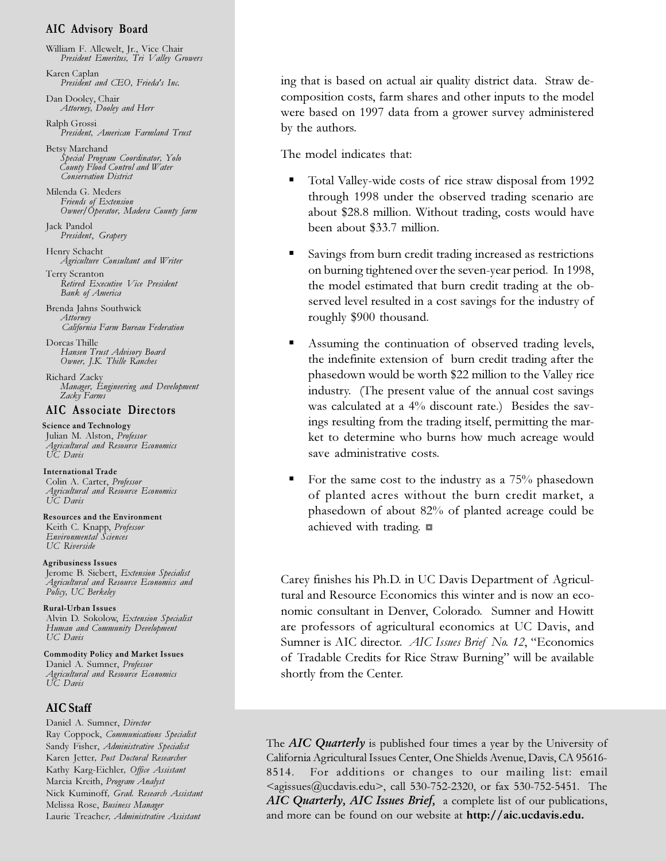#### **AIC Advisory Board**

William F. Allewelt, Jr., Vice Chair *President Emeritus, Tri Valley Growers*

Karen Caplan *President and CEO, Frieda's Inc.*

Dan Dooley, Chair *Attorney, Dooley and Herr*

Ralph Grossi *President, American Farmland Trust*

Betsy Marchand *Special Program Coordinator, Yolo County Flood Control and Water Conservation District*

Milenda G. Meders *Friends of Extension Owner/Operator, Madera County farm*

Jack Pandol *President*, *Grapery*

Henry Schacht *Agriculture Consultant and Writer*

Terry Scranton *Retired Executive Vice President Bank of America*

Brenda Jahns Southwick *Attorney California Farm Bureau Federation*

Dorcas Thille *Hansen Trust Advisory Board Owner, J.K. Thille Ranches*

Richard Zacky *Manager, Engineering and Development Zacky Farms*

#### **AIC Associate Directors**

 **Science and Technology** Julian M. Alston, *Professor Agricultural and Resource Economics UC Davis*

 **Inter national Trade** Colin A. Carter, *Professor Agricultural and Resource Economics UC Davis*

 **Resources and the Environment** Keith C. Knapp, *Professor Environmental Sciences UC Riverside*

 **Agribusiness Issues** Jerome B. Siebert, *Extension Specialist Agricultural and Resource Economics and Policy, UC Berkeley*

 **Rural-Urban Issues** Alvin D. Sokolow, *Extension Specialist Human and Community Development UC Davis*

**Commodity Policy and Market Issues** Daniel A. Sumner, *Professor Agricultural and Resource Economics UC Davis*

#### **AIC Staff**

Daniel A. Sumner, *Director* Ray Coppock, *Communications Specialist* Sandy Fisher, *Administrative Specialist* Karen Jetter*, Post Doctoral Researcher* Kathy Karg-Eichler*, Office Assistant* Marcia Kreith, *Program Analyst* Nick Kuminoff*, Grad. Research Assistant* Melissa Rose, *Business Manager* Laurie Treache*r, Administrative Assistant*

ing that is based on actual air quality district data. Straw decomposition costs, farm shares and other inputs to the model were based on 1997 data from a grower survey administered by the authors.

The model indicates that:

- § Total Valley-wide costs of rice straw disposal from 1992 through 1998 under the observed trading scenario are about \$28.8 million. Without trading, costs would have been about \$33.7 million.
- § Savings from burn credit trading increased as restrictions on burning tightened over the seven-year period. In 1998, the model estimated that burn credit trading at the observed level resulted in a cost savings for the industry of roughly \$900 thousand.
- § Assuming the continuation of observed trading levels, the indefinite extension of burn credit trading after the phasedown would be worth \$22 million to the Valley rice industry. (The present value of the annual cost savings was calculated at a 4% discount rate.) Besides the savings resulting from the trading itself, permitting the market to determine who burns how much acreage would save administrative costs.
- § For the same cost to the industry as a 75% phasedown of planted acres without the burn credit market, a phasedown of about 82% of planted acreage could be achieved with trading.  $\blacksquare$

Carey finishes his Ph.D. in UC Davis Department of Agricultural and Resource Economics this winter and is now an economic consultant in Denver, Colorado. Sumner and Howitt are professors of agricultural economics at UC Davis, and Sumner is AIC director. *AIC Issues Brief No. 12*, "Economics of Tradable Credits for Rice Straw Burning" will be available shortly from the Center.

The AIC Quarterly is published four times a year by the University of California Agricultural Issues Center, One Shields Avenue, Davis, CA 95616- 8514. For additions or changes to our mailing list: email  $\leq$ agissues@ucdavis.edu>, call 530-752-2320, or fax 530-752-5451. The AIC Quarterly, AIC Issues Brief, a complete list of our publications, and more can be found on our website at **http://aic.ucdavis.edu.**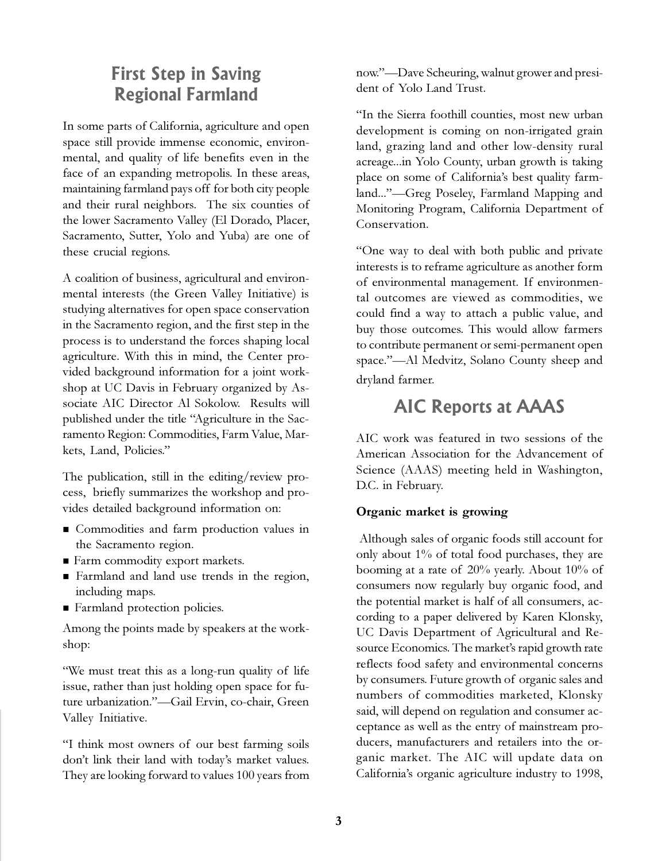### **First Step in Saving Regional Farmland**

In some parts of California, agriculture and open space still provide immense economic, environmental, and quality of life benefits even in the face of an expanding metropolis. In these areas, maintaining farmland pays off for both city people and their rural neighbors. The six counties of the lower Sacramento Valley (El Dorado, Placer, Sacramento, Sutter, Yolo and Yuba) are one of these crucial regions.

A coalition of business, agricultural and environmental interests (the Green Valley Initiative) is studying alternatives for open space conservation in the Sacramento region, and the first step in the process is to understand the forces shaping local agriculture. With this in mind, the Center provided background information for a joint workshop at UC Davis in February organized by Associate AIC Director Al Sokolow. Results will published under the title "Agriculture in the Sacramento Region: Commodities, Farm Value, Markets, Land, Policies.

The publication, still in the editing/review process, briefly summarizes the workshop and provides detailed background information on:

- Commodities and farm production values in the Sacramento region.
- Farm commodity export markets.
- <sup>n</sup> Farmland and land use trends in the region, including maps.
- Farmland protection policies.

Among the points made by speakers at the workshop:

We must treat this as a long-run quality of life issue, rather than just holding open space for future urbanization."-Gail Ervin, co-chair, Green Valley Initiative.

I think most owners of our best farming soils don't link their land with today's market values. They are looking forward to values 100 years from now."—Dave Scheuring, walnut grower and president of Yolo Land Trust.

In the Sierra foothill counties, most new urban development is coming on non-irrigated grain land, grazing land and other low-density rural acreage...in Yolo County, urban growth is taking place on some of California's best quality farmland..."—Greg Poseley, Farmland Mapping and Monitoring Program, California Department of Conservation.

One way to deal with both public and private interests is to reframe agriculture as another form of environmental management. If environmental outcomes are viewed as commodities, we could find a way to attach a public value, and buy those outcomes. This would allow farmers to contribute permanent or semi-permanent open space."—Al Medvitz, Solano County sheep and dryland farmer.

### **AIC Reports at AAAS**

AIC work was featured in two sessions of the American Association for the Advancement of Science (AAAS) meeting held in Washington, D.C. in February.

### **Organic market is growing**

 Although sales of organic foods still account for only about 1% of total food purchases, they are booming at a rate of 20% yearly. About 10% of consumers now regularly buy organic food, and the potential market is half of all consumers, according to a paper delivered by Karen Klonsky, UC Davis Department of Agricultural and Resource Economics. The market's rapid growth rate reflects food safety and environmental concerns by consumers. Future growth of organic sales and numbers of commodities marketed, Klonsky said, will depend on regulation and consumer acceptance as well as the entry of mainstream producers, manufacturers and retailers into the organic market. The AIC will update data on California's organic agriculture industry to 1998,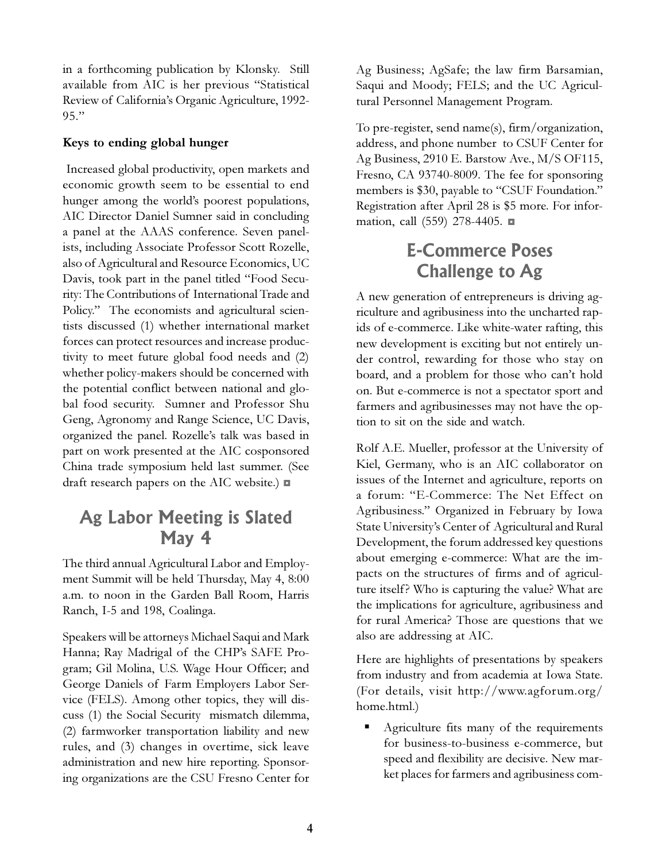in a forthcoming publication by Klonsky. Still available from AIC is her previous "Statistical Review of California's Organic Agriculture, 1992- $95."$ 

#### **Keys to ending global hunger**

 Increased global productivity, open markets and economic growth seem to be essential to end hunger among the world's poorest populations, AIC Director Daniel Sumner said in concluding a panel at the AAAS conference. Seven panelists, including Associate Professor Scott Rozelle, also of Agricultural and Resource Economics, UC Davis, took part in the panel titled "Food Security: The Contributions of International Trade and Policy." The economists and agricultural scientists discussed (1) whether international market forces can protect resources and increase productivity to meet future global food needs and (2) whether policy-makers should be concerned with the potential conflict between national and global food security. Sumner and Professor Shu Geng, Agronomy and Range Science, UC Davis, organized the panel. Rozelle's talk was based in part on work presented at the AIC cosponsored China trade symposium held last summer. (See draft research papers on the AIC website.)  $\blacksquare$ 

### **Ag Labor Meeting is Slated May 4**

The third annual Agricultural Labor and Employment Summit will be held Thursday, May 4, 8:00 a.m. to noon in the Garden Ball Room, Harris Ranch, I-5 and 198, Coalinga.

Speakers will be attorneys Michael Saqui and Mark Hanna; Ray Madrigal of the CHPs SAFE Program; Gil Molina, U.S. Wage Hour Officer; and George Daniels of Farm Employers Labor Service (FELS). Among other topics, they will discuss (1) the Social Security mismatch dilemma, (2) farmworker transportation liability and new rules, and (3) changes in overtime, sick leave administration and new hire reporting. Sponsoring organizations are the CSU Fresno Center for Ag Business; AgSafe; the law firm Barsamian, Saqui and Moody; FELS; and the UC Agricultural Personnel Management Program.

To pre-register, send name(s), firm/organization, address, and phone number to CSUF Center for Ag Business, 2910 E. Barstow Ave., M/S OF115, Fresno, CA 93740-8009. The fee for sponsoring members is \$30, payable to "CSUF Foundation." Registration after April 28 is \$5 more. For information, call (559) 278-4405.  $\blacksquare$ 

### **E-Commerce Poses Challenge to Ag**

A new generation of entrepreneurs is driving agriculture and agribusiness into the uncharted rapids of e-commerce. Like white-water rafting, this new development is exciting but not entirely under control, rewarding for those who stay on board, and a problem for those who can't hold on. But e-commerce is not a spectator sport and farmers and agribusinesses may not have the option to sit on the side and watch.

Rolf A.E. Mueller, professor at the University of Kiel, Germany, who is an AIC collaborator on issues of the Internet and agriculture, reports on a forum: E-Commerce: The Net Effect on Agribusiness." Organized in February by Iowa State University's Center of Agricultural and Rural Development, the forum addressed key questions about emerging e-commerce: What are the impacts on the structures of firms and of agriculture itself? Who is capturing the value? What are the implications for agriculture, agribusiness and for rural America? Those are questions that we also are addressing at AIC.

Here are highlights of presentations by speakers from industry and from academia at Iowa State. (For details, visit http://www.agforum.org/ home.html.)

§ Agriculture fits many of the requirements for business-to-business e-commerce, but speed and flexibility are decisive. New market places for farmers and agribusiness com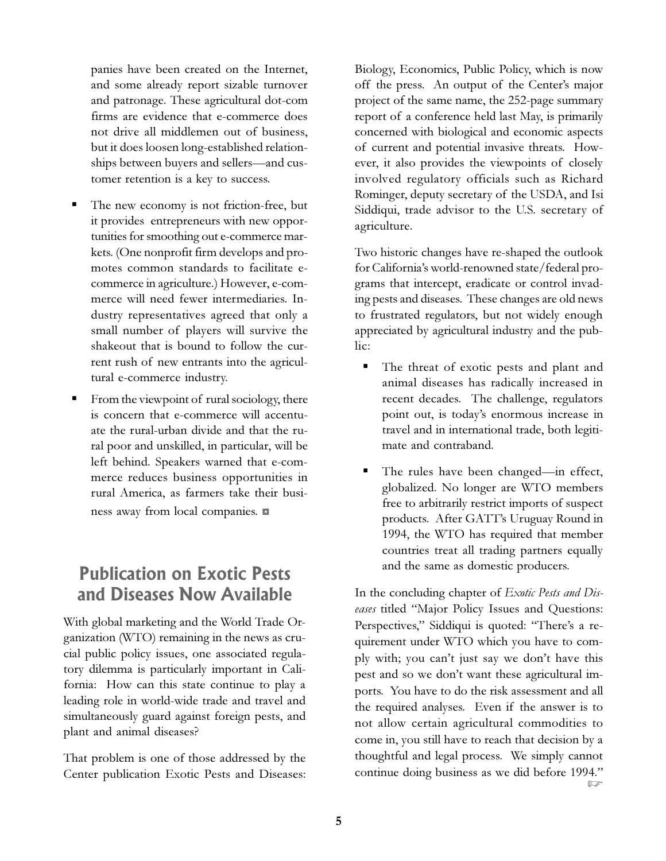panies have been created on the Internet, and some already report sizable turnover and patronage. These agricultural dot-com firms are evidence that e-commerce does not drive all middlemen out of business, but it does loosen long-established relationships between buyers and sellers—and customer retention is a key to success.

- The new economy is not friction-free, but it provides entrepreneurs with new opportunities for smoothing out e-commerce markets. (One nonprofit firm develops and promotes common standards to facilitate ecommerce in agriculture.) However, e-commerce will need fewer intermediaries. Industry representatives agreed that only a small number of players will survive the shakeout that is bound to follow the current rush of new entrants into the agricultural e-commerce industry.
- From the viewpoint of rural sociology, there is concern that e-commerce will accentuate the rural-urban divide and that the rural poor and unskilled, in particular, will be left behind. Speakers warned that e-commerce reduces business opportunities in rural America, as farmers take their business away from local companies.  $\blacksquare$

### **Publication on Exotic Pests and Diseases Now Available**

With global marketing and the World Trade Organization (WTO) remaining in the news as crucial public policy issues, one associated regulatory dilemma is particularly important in California: How can this state continue to play a leading role in world-wide trade and travel and simultaneously guard against foreign pests, and plant and animal diseases?

That problem is one of those addressed by the Center publication Exotic Pests and Diseases: Biology, Economics, Public Policy, which is now off the press. An output of the Center's major project of the same name, the 252-page summary report of a conference held last May, is primarily concerned with biological and economic aspects of current and potential invasive threats. However, it also provides the viewpoints of closely involved regulatory officials such as Richard Rominger, deputy secretary of the USDA, and Isi Siddiqui, trade advisor to the U.S. secretary of agriculture.

Two historic changes have re-shaped the outlook for California's world-renowned state/federal programs that intercept, eradicate or control invading pests and diseases. These changes are old news to frustrated regulators, but not widely enough appreciated by agricultural industry and the public:

- The threat of exotic pests and plant and animal diseases has radically increased in recent decades. The challenge, regulators point out, is todays enormous increase in travel and in international trade, both legitimate and contraband.
- The rules have been changed—in effect, globalized. No longer are WTO members free to arbitrarily restrict imports of suspect products. After GATT's Uruguay Round in 1994, the WTO has required that member countries treat all trading partners equally and the same as domestic producers.

In the concluding chapter of *Exotic Pests and Dis*eases titled "Major Policy Issues and Questions: Perspectives," Siddiqui is quoted: "There's a requirement under WTO which you have to comply with; you can't just say we don't have this pest and so we don't want these agricultural imports. You have to do the risk assessment and all the required analyses. Even if the answer is to not allow certain agricultural commodities to come in, you still have to reach that decision by a thoughtful and legal process. We simply cannot continue doing business as we did before 1994."